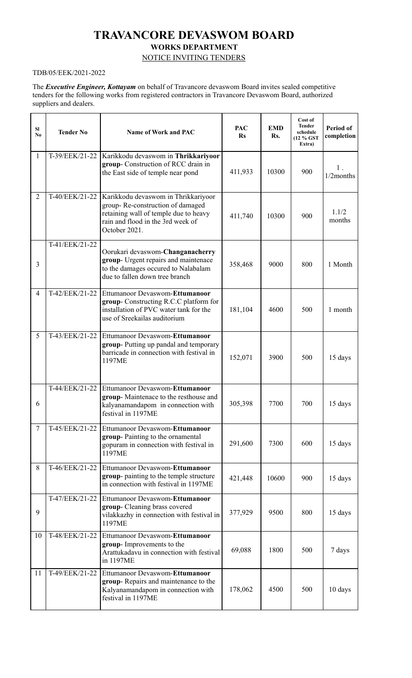# **TRAVANCORE DEVASWOM BOARD WORKS DEPARTMENT**

## NOTICE INVITING TENDERS

## TDB/05/EEK/2021-2022

The *Executive Engineer, Kottayam* on behalf of Travancore devaswom Board invites sealed competitive tenders for the following works from registered contractors in Travancore Devaswom Board, authorized suppliers and dealers.

| <b>SI</b><br>$\mathbf{N_0}$ | <b>Tender No</b> | Name of Work and PAC                                                                                                                                                   | <b>PAC</b><br><b>Rs</b> | <b>EMD</b><br>Rs. | Cost of<br><b>Tender</b><br>schedule<br>(12 % GST)<br>Extra) | Period of<br>completion |
|-----------------------------|------------------|------------------------------------------------------------------------------------------------------------------------------------------------------------------------|-------------------------|-------------------|--------------------------------------------------------------|-------------------------|
| $\mathbf{1}$                | T-39/EEK/21-22   | Karikkodu devaswom in Thrikkariyoor<br>group- Construction of RCC drain in<br>the East side of temple near pond                                                        | 411,933                 | 10300             | 900                                                          | 1.<br>1/2months         |
| $\overline{2}$              | T-40/EEK/21-22   | Karikkodu devaswom in Thrikkariyoor<br>group-Re-construction of damaged<br>retaining wall of temple due to heavy<br>rain and flood in the 3rd week of<br>October 2021. | 411,740                 | 10300             | 900                                                          | 1.1/2<br>months         |
| 3                           | T-41/EEK/21-22   | Oorukari devaswom-Changanacherry<br>group- Urgent repairs and maintenace<br>to the damages occured to Nalabalam<br>due to fallen down tree branch                      | 358,468                 | 9000              | 800                                                          | 1 Month                 |
| $\overline{4}$              | T-42/EEK/21-22   | Ettumanoor Devaswom-Ettumanoor<br>group- Constructing R.C.C platform for<br>installation of PVC water tank for the<br>use of Sreekailas auditorium                     | 181,104                 | 4600              | 500                                                          | 1 month                 |
| 5                           | T-43/EEK/21-22   | Ettumanoor Devaswom-Ettumanoor<br>group-Putting up pandal and temporary<br>barricade in connection with festival in<br>1197ME                                          | 152,071                 | 3900              | 500                                                          | 15 days                 |
| 6                           | T-44/EEK/21-22   | Ettumanoor Devaswom-Ettumanoor<br>group-Maintenace to the resthouse and<br>kalyanamandapom in connection with<br>festival in 1197ME                                    | 305,398                 | 7700              | 700                                                          | 15 days                 |
| $\tau$                      | T-45/EEK/21-22   | Ettumanoor Devaswom-Ettumanoor<br>group-Painting to the ornamental<br>gopuram in connection with festival in<br>1197ME                                                 | 291,600                 | 7300              | 600                                                          | 15 days                 |
| 8                           | T-46/EEK/21-22   | Ettumanoor Devaswom-Ettumanoor<br>group- painting to the temple structure<br>in connection with festival in 1197ME                                                     | 421,448                 | 10600             | 900                                                          | 15 days                 |
| 9                           | T-47/EEK/21-22   | Ettumanoor Devaswom-Ettumanoor<br>group- Cleaning brass covered<br>vilakkazhy in connection with festival in<br>1197ME                                                 | 377,929                 | 9500              | 800                                                          | 15 days                 |
| 10                          | T-48/EEK/21-22   | Ettumanoor Devaswom-Ettumanoor<br>group- Improvements to the<br>Arattukadavu in connection with festival<br>in 1197ME                                                  | 69,088                  | 1800              | 500                                                          | 7 days                  |
| 11                          | T-49/EEK/21-22   | Ettumanoor Devaswom-Ettumanoor<br>group-Repairs and maintenance to the<br>Kalyanamandapom in connection with<br>festival in 1197ME                                     | 178,062                 | 4500              | 500                                                          | 10 days                 |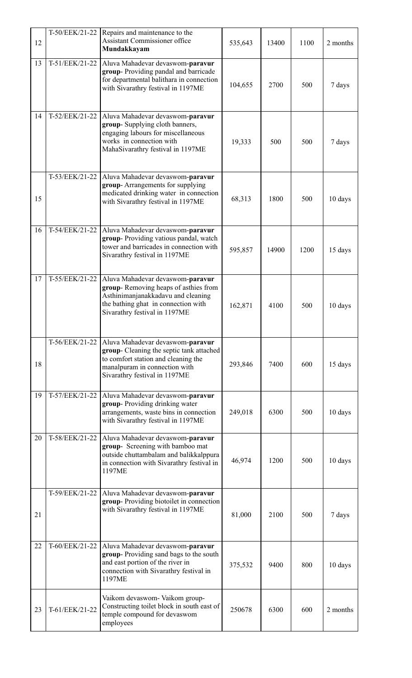| 12 | T-50/EEK/21-22   | Repairs and maintenance to the<br>Assistant Commissioner office<br>Mundakkayam                                                                                                         | 535,643 | 13400 | 1100 | 2 months |
|----|------------------|----------------------------------------------------------------------------------------------------------------------------------------------------------------------------------------|---------|-------|------|----------|
| 13 | T-51/EEK/21-22   | Aluva Mahadevar devaswom-paravur<br>group-Providing pandal and barricade<br>for departmental balithara in connection<br>with Sivarathry festival in 1197ME                             | 104,655 | 2700  | 500  | 7 days   |
| 14 | T-52/EEK/21-22   | Aluva Mahadevar devaswom-paravur<br>group- Supplying cloth banners,<br>engaging labours for miscellaneous<br>works in connection with<br>MahaSivarathry festival in 1197ME             | 19,333  | 500   | 500  | 7 days   |
| 15 | T-53/EEK/21-22   | Aluva Mahadevar devaswom-paravur<br>group-Arrangements for supplying<br>medicated drinking water in connection<br>with Sivarathry festival in 1197ME                                   | 68,313  | 1800  | 500  | 10 days  |
| 16 | $T-54/EEK/21-22$ | Aluva Mahadevar devaswom-paravur<br>group-Providing vatious pandal, watch<br>tower and barricades in connection with<br>Sivarathry festival in 1197ME                                  | 595,857 | 14900 | 1200 | 15 days  |
| 17 | T-55/EEK/21-22   | Aluva Mahadevar devaswom-paravur<br>group-Removing heaps of asthies from<br>Asthinimanjanakkadavu and cleaning<br>the bathing ghat in connection with<br>Sivarathry festival in 1197ME | 162,871 | 4100  | 500  | 10 days  |
| 18 | T-56/EEK/21-22   | Aluva Mahadevar devaswom-paravur<br>group- Cleaning the septic tank attached<br>to comfort station and cleaning the<br>manalpuram in connection with<br>Sivarathry festival in 1197ME  | 293,846 | 7400  | 600  | 15 days  |
| 19 | T-57/EEK/21-22   | Aluva Mahadevar devaswom-paravur<br>group-Providing drinking water<br>arrangements, waste bins in connection<br>with Sivarathry festival in 1197ME                                     | 249,018 | 6300  | 500  | 10 days  |
| 20 | T-58/EEK/21-22   | Aluva Mahadevar devaswom-paravur<br>group- Screening with bamboo mat<br>outside chuttambalam and balikkalppura<br>in connection with Sivarathry festival in<br>1197ME                  | 46,974  | 1200  | 500  | 10 days  |
| 21 | T-59/EEK/21-22   | Aluva Mahadevar devaswom-paravur<br>group-Providing biotoilet in connection<br>with Sivarathry festival in 1197ME                                                                      | 81,000  | 2100  | 500  | 7 days   |
| 22 | T-60/EEK/21-22   | Aluva Mahadevar devaswom-paravur<br>group-Providing sand bags to the south<br>and east portion of the river in<br>connection with Sivarathry festival in<br>1197ME                     | 375,532 | 9400  | 800  | 10 days  |
| 23 | T-61/EEK/21-22   | Vaikom devaswom- Vaikom group-<br>Constructing toilet block in south east of<br>temple compound for devaswom<br>employees                                                              | 250678  | 6300  | 600  | 2 months |